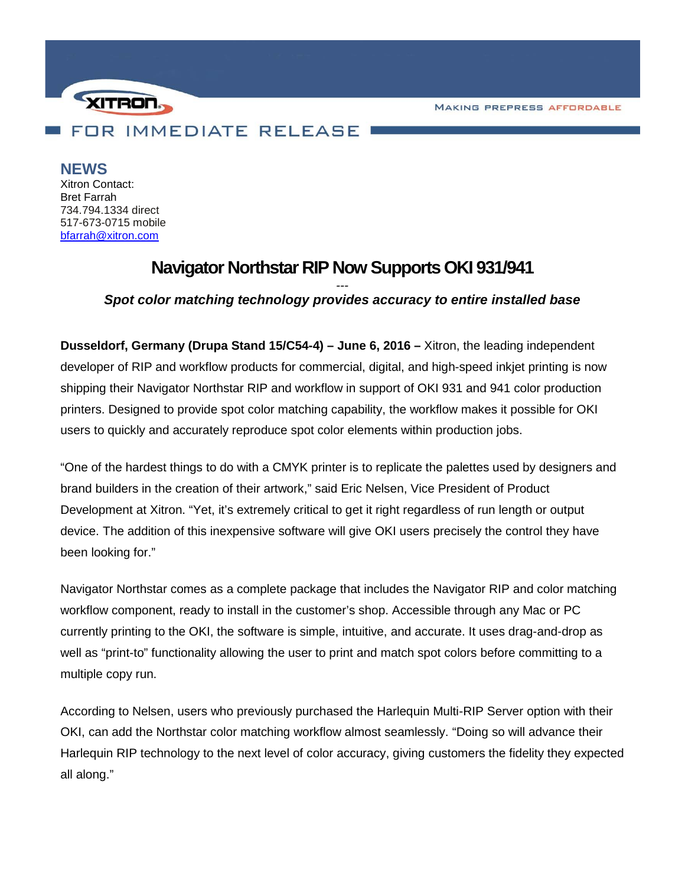**MAKING PREPRESS AFFORDABLE** 



**NEWS**

Xitron Contact: Bret Farrah 734.794.1334 direct 517-673-0715 mobile [bfarrah@xitron.com](mailto:bfarrah@xitron.com)

## **Navigator Northstar RIP Now Supports OKI 931/941**

## *--- Spot color matching technology provides accuracy to entire installed base*

**Dusseldorf, Germany (Drupa Stand 15/C54-4) – June 6, 2016 –** Xitron, the leading independent developer of RIP and workflow products for commercial, digital, and high-speed inkjet printing is now shipping their Navigator Northstar RIP and workflow in support of OKI 931 and 941 color production printers. Designed to provide spot color matching capability, the workflow makes it possible for OKI users to quickly and accurately reproduce spot color elements within production jobs.

"One of the hardest things to do with a CMYK printer is to replicate the palettes used by designers and brand builders in the creation of their artwork," said Eric Nelsen, Vice President of Product Development at Xitron. "Yet, it's extremely critical to get it right regardless of run length or output device. The addition of this inexpensive software will give OKI users precisely the control they have been looking for."

Navigator Northstar comes as a complete package that includes the Navigator RIP and color matching workflow component, ready to install in the customer's shop. Accessible through any Mac or PC currently printing to the OKI, the software is simple, intuitive, and accurate. It uses drag-and-drop as well as "print-to" functionality allowing the user to print and match spot colors before committing to a multiple copy run.

According to Nelsen, users who previously purchased the Harlequin Multi-RIP Server option with their OKI, can add the Northstar color matching workflow almost seamlessly. "Doing so will advance their Harlequin RIP technology to the next level of color accuracy, giving customers the fidelity they expected all along."